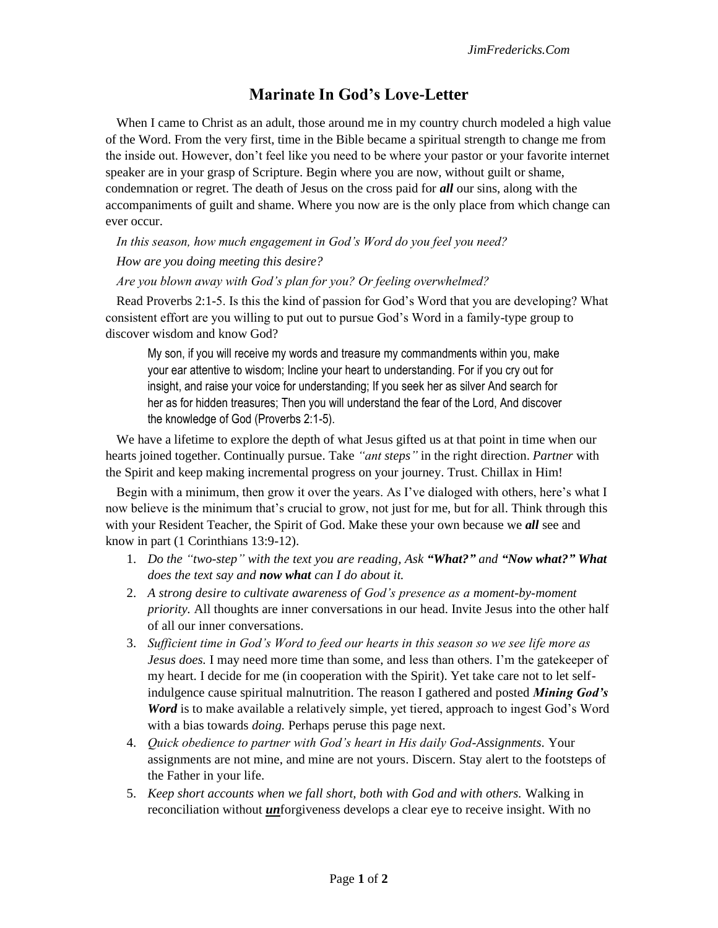## **Marinate In God's Love-Letter**

When I came to Christ as an adult, those around me in my country church modeled a high value of the Word. From the very first, time in the Bible became a spiritual strength to change me from the inside out. However, don't feel like you need to be where your pastor or your favorite internet speaker are in your grasp of Scripture. Begin where you are now, without guilt or shame, condemnation or regret. The death of Jesus on the cross paid for *all* our sins, along with the accompaniments of guilt and shame. Where you now are is the only place from which change can ever occur.

*In this season, how much engagement in God's Word do you feel you need? How are you doing meeting this desire?*

*Are you blown away with God's plan for you? Or feeling overwhelmed?* 

Read Proverbs 2:1-5. Is this the kind of passion for God's Word that you are developing? What consistent effort are you willing to put out to pursue God's Word in a family-type group to discover wisdom and know God?

My son, if you will receive my words and treasure my commandments within you, make your ear attentive to wisdom; Incline your heart to understanding. For if you cry out for insight, and raise your voice for understanding; If you seek her as silver And search for her as for hidden treasures; Then you will understand the fear of the Lord, And discover the knowledge of God (Proverbs 2:1-5).

We have a lifetime to explore the depth of what Jesus gifted us at that point in time when our hearts joined together. Continually pursue. Take *"ant steps"* in the right direction. *Partner* with the Spirit and keep making incremental progress on your journey. Trust. Chillax in Him!

Begin with a minimum, then grow it over the years. As I've dialoged with others, here's what I now believe is the minimum that's crucial to grow, not just for me, but for all. Think through this with your Resident Teacher, the Spirit of God. Make these your own because we *all* see and know in part (1 Corinthians 13:9-12).

- 1. *Do the "two-step" with the text you are reading, Ask "What?" and "Now what?" What does the text say and now what can I do about it.*
- 2. *A strong desire to cultivate awareness of God's presence as a moment-by-moment priority.* All thoughts are inner conversations in our head. Invite Jesus into the other half of all our inner conversations.
- 3. *Sufficient time in God's Word to feed our hearts in this season so we see life more as Jesus does.* I may need more time than some, and less than others. I'm the gatekeeper of my heart. I decide for me (in cooperation with the Spirit). Yet take care not to let selfindulgence cause spiritual malnutrition. The reason I gathered and posted *Mining God's Word* is to make available a relatively simple, yet tiered, approach to ingest God's Word with a bias towards *doing.* Perhaps peruse this page next.
- 4. *Quick obedience to partner with God's heart in His daily God-Assignments.* Your assignments are not mine, and mine are not yours. Discern. Stay alert to the footsteps of the Father in your life.
- 5. *Keep short accounts when we fall short, both with God and with others.* Walking in reconciliation without *un*forgiveness develops a clear eye to receive insight. With no